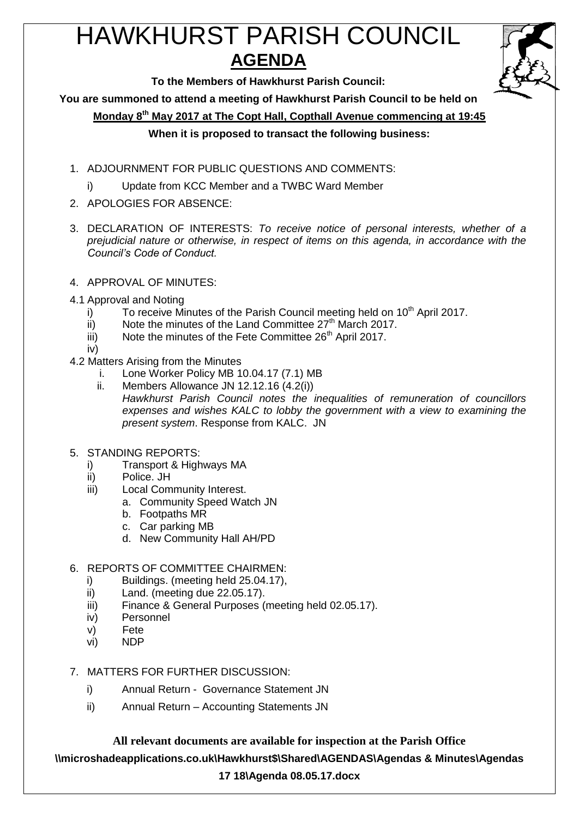# HAWKHURST PARISH COUNCIL **AGENDA**



**To the Members of Hawkhurst Parish Council:**

**You are summoned to attend a meeting of Hawkhurst Parish Council to be held on**

**Monday 8th May 2017 at The Copt Hall, Copthall Avenue commencing at 19:45**

# **When it is proposed to transact the following business:**

- 1. ADJOURNMENT FOR PUBLIC QUESTIONS AND COMMENTS:
	- i) Update from KCC Member and a TWBC Ward Member
- 2. APOLOGIES FOR ABSENCE:
- 3. DECLARATION OF INTERESTS: *To receive notice of personal interests, whether of a prejudicial nature or otherwise, in respect of items on this agenda, in accordance with the Council's Code of Conduct.*
- 4. APPROVAL OF MINUTES:
- 4.1 Approval and Noting
	- i) To receive Minutes of the Parish Council meeting held on  $10<sup>th</sup>$  April 2017.
	- $\overline{ii}$  Note the minutes of the Land Committee 27<sup>th</sup> March 2017.
	- $\overline{iii}$  Note the minutes of the Fete Committee 26<sup>th</sup> April 2017.
	- iv)
- 4.2 Matters Arising from the Minutes
	- i. Lone Worker Policy MB 10.04.17 (7.1) MB
	- ii. Members Allowance JN 12.12.16 (4.2(i)) *Hawkhurst Parish Council notes the inequalities of remuneration of councillors expenses and wishes KALC to lobby the government with a view to examining the present system*. Response from KALC. JN
- 5. STANDING REPORTS:
	- i) Transport & Highways MA
	- ii) Police. JH
	- iii) Local Community Interest.
		- a. Community Speed Watch JN
		- b. Footpaths MR
		- c. Car parking MB
		- d. New Community Hall AH/PD

# 6. REPORTS OF COMMITTEE CHAIRMEN:

- i) Buildings. (meeting held 25.04.17),
- ii) Land. (meeting due 22.05.17).
- iii) Finance & General Purposes (meeting held 02.05.17).
- iv) Personnel
- v) Fete
- vi) NDP
- 7. MATTERS FOR FURTHER DISCUSSION:
	- i) Annual Return Governance Statement JN
	- ii) Annual Return Accounting Statements JN

**All relevant documents are available for inspection at the Parish Office \\microshadeapplications.co.uk\Hawkhurst\$\Shared\AGENDAS\Agendas & Minutes\Agendas** 

# **17 18\Agenda 08.05.17.docx**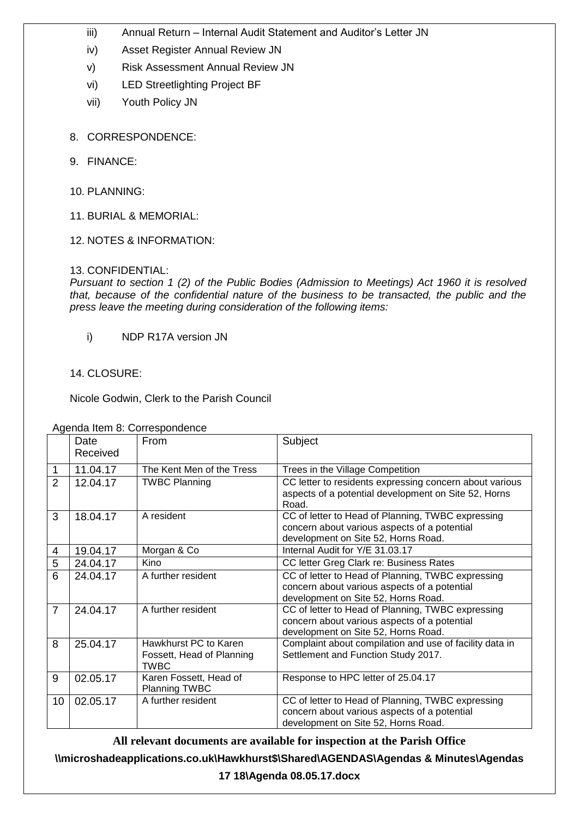- iii) Annual Return Internal Audit Statement and Auditor's Letter JN
- iv) Asset Register Annual Review JN
- v) Risk Assessment Annual Review JN
- vi) LED Streetlighting Project BF
- vii) Youth Policy JN
- 8. CORRESPONDENCE:
- 9. FINANCE:
- 10. PLANNING:
- 11. BURIAL & MEMORIAL:
- 12. NOTES & INFORMATION:

#### 13. CONFIDENTIAL:

*Pursuant to section 1 (2) of the Public Bodies (Admission to Meetings) Act 1960 it is resolved that, because of the confidential nature of the business to be transacted, the public and the press leave the meeting during consideration of the following items:*

i) NDP R17A version JN

#### 14. CLOSURE:

Nicole Godwin, Clerk to the Parish Council

|                | Date<br>Received | From                                                              | Subject                                                                                                                                  |
|----------------|------------------|-------------------------------------------------------------------|------------------------------------------------------------------------------------------------------------------------------------------|
| 1              | 11.04.17         | The Kent Men of the Tress                                         | Trees in the Village Competition                                                                                                         |
| 2              | 12.04.17         | <b>TWBC Planning</b>                                              | CC letter to residents expressing concern about various<br>aspects of a potential development on Site 52, Horns<br>Road.                 |
| 3              | 18.04.17         | A resident                                                        | CC of letter to Head of Planning, TWBC expressing<br>concern about various aspects of a potential<br>development on Site 52, Horns Road. |
| 4              | 19.04.17         | Morgan & Co                                                       | Internal Audit for Y/E 31.03.17                                                                                                          |
| 5              | 24.04.17         | Kino                                                              | CC letter Greg Clark re: Business Rates                                                                                                  |
| 6              | 24.04.17         | A further resident                                                | CC of letter to Head of Planning, TWBC expressing<br>concern about various aspects of a potential<br>development on Site 52, Horns Road. |
| $\overline{7}$ | 24.04.17         | A further resident                                                | CC of letter to Head of Planning, TWBC expressing<br>concern about various aspects of a potential<br>development on Site 52, Horns Road. |
| 8              | 25.04.17         | Hawkhurst PC to Karen<br>Fossett, Head of Planning<br><b>TWBC</b> | Complaint about compilation and use of facility data in<br>Settlement and Function Study 2017.                                           |
| 9              | 02.05.17         | Karen Fossett, Head of<br><b>Planning TWBC</b>                    | Response to HPC letter of 25.04.17                                                                                                       |
| 10             | 02.05.17         | A further resident                                                | CC of letter to Head of Planning, TWBC expressing<br>concern about various aspects of a potential<br>development on Site 52, Horns Road. |

Agenda Item 8: Correspondence

**All relevant documents are available for inspection at the Parish Office \\microshadeapplications.co.uk\Hawkhurst\$\Shared\AGENDAS\Agendas & Minutes\Agendas** 

# **17 18\Agenda 08.05.17.docx**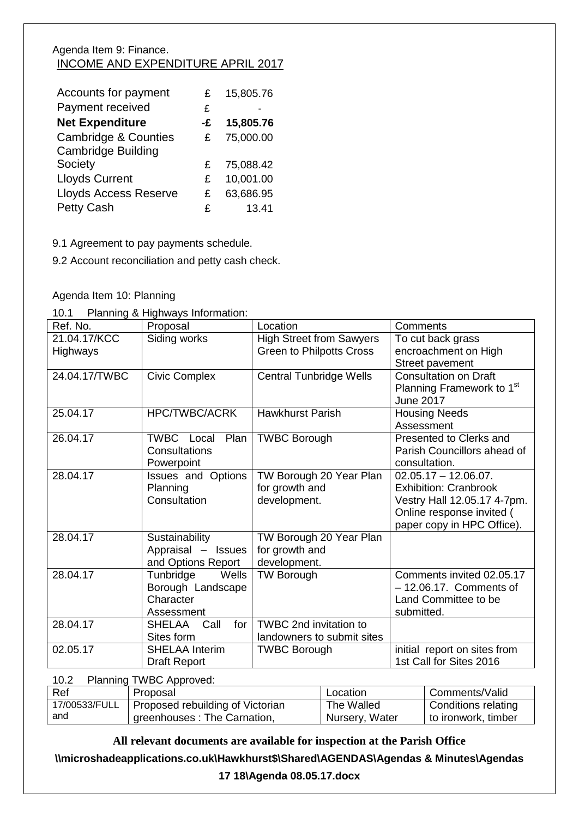# Agenda Item 9: Finance. INCOME AND EXPENDITURE APRIL 2017

| Accounts for payment            | £  | 15,805.76 |
|---------------------------------|----|-----------|
| Payment received                | £  |           |
| <b>Net Expenditure</b>          | -£ | 15,805.76 |
| <b>Cambridge &amp; Counties</b> | £  | 75,000.00 |
| <b>Cambridge Building</b>       |    |           |
| Society                         | £  | 75,088.42 |
| <b>Lloyds Current</b>           | £  | 10,001.00 |
| <b>Lloyds Access Reserve</b>    | £  | 63,686.95 |
| <b>Petty Cash</b>               | £  | 13.41     |

9.1 Agreement to pay payments schedule.

9.2 Account reconciliation and petty cash check.

Agenda Item 10: Planning

10.1 Planning & Highways Information:

| Ref. No.      | Proposal                  | Location                        | Comments                              |
|---------------|---------------------------|---------------------------------|---------------------------------------|
| 21.04.17/KCC  | Siding works              | <b>High Street from Sawyers</b> | To cut back grass                     |
| Highways      |                           | <b>Green to Philpotts Cross</b> | encroachment on High                  |
|               |                           |                                 | Street pavement                       |
| 24.04.17/TWBC | <b>Civic Complex</b>      | <b>Central Tunbridge Wells</b>  | <b>Consultation on Draft</b>          |
|               |                           |                                 | Planning Framework to 1 <sup>st</sup> |
|               |                           |                                 | <b>June 2017</b>                      |
| 25.04.17      | <b>HPC/TWBC/ACRK</b>      | <b>Hawkhurst Parish</b>         | <b>Housing Needs</b>                  |
|               |                           |                                 | Assessment                            |
| 26.04.17      | Plan<br>TWBC Local        | <b>TWBC Borough</b>             | Presented to Clerks and               |
|               | Consultations             |                                 | Parish Councillors ahead of           |
|               | Powerpoint                |                                 | consultation.                         |
| 28.04.17      | <b>Issues and Options</b> | TW Borough 20 Year Plan         | $02.05.17 - 12.06.07$ .               |
|               | Planning                  | for growth and                  | <b>Exhibition: Cranbrook</b>          |
|               | Consultation              | development.                    | Vestry Hall 12.05.17 4-7pm.           |
|               |                           |                                 | Online response invited (             |
|               |                           |                                 | paper copy in HPC Office).            |
| 28.04.17      | Sustainability            | TW Borough 20 Year Plan         |                                       |
|               | Appraisal - Issues        | for growth and                  |                                       |
|               | and Options Report        | development.                    |                                       |
| 28.04.17      | Tunbridge<br>Wells        | <b>TW Borough</b>               | Comments invited 02.05.17             |
|               | Borough Landscape         |                                 | $-12.06.17$ . Comments of             |
|               | Character                 |                                 | Land Committee to be                  |
|               | Assessment                |                                 | submitted.                            |
| 28.04.17      | Call<br>for<br>SHELAA     | TWBC 2nd invitation to          |                                       |
|               | Sites form                | landowners to submit sites      |                                       |
| 02.05.17      | <b>SHELAA Interim</b>     | <b>TWBC Borough</b>             | initial report on sites from          |
|               | <b>Draft Report</b>       |                                 | 1st Call for Sites 2016               |

| <b>Planning TWBC Approved:</b><br>10.2 |                                                                 |                              |                                            |  |
|----------------------------------------|-----------------------------------------------------------------|------------------------------|--------------------------------------------|--|
| Ref                                    | Proposal                                                        | Location                     | Comments/Valid                             |  |
| 17/00533/FULL<br>and                   | Proposed rebuilding of Victorian<br>greenhouses: The Carnation, | The Walled<br>Nursery, Water | Conditions relating<br>to ironwork, timber |  |

**All relevant documents are available for inspection at the Parish Office**

**\\microshadeapplications.co.uk\Hawkhurst\$\Shared\AGENDAS\Agendas & Minutes\Agendas** 

**17 18\Agenda 08.05.17.docx**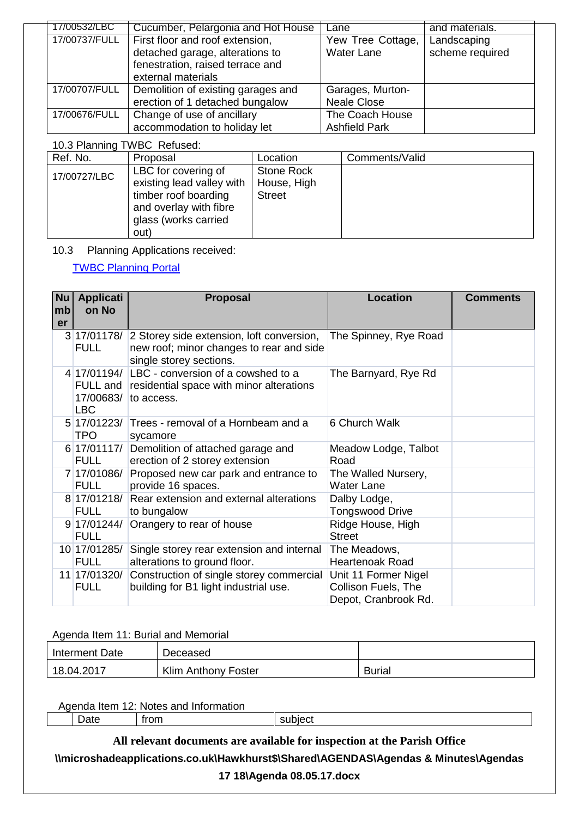| 17/00532/LBC  | Cucumber, Pelargonia and Hot House | Lane                 | and materials.  |
|---------------|------------------------------------|----------------------|-----------------|
| 17/00737/FULL | First floor and roof extension,    | Yew Tree Cottage,    | Landscaping     |
|               | detached garage, alterations to    | <b>Water Lane</b>    | scheme required |
|               | fenestration, raised terrace and   |                      |                 |
|               | external materials                 |                      |                 |
| 17/00707/FULL | Demolition of existing garages and | Garages, Murton-     |                 |
|               | erection of 1 detached bungalow    | <b>Neale Close</b>   |                 |
| 17/00676/FULL | Change of use of ancillary         | The Coach House      |                 |
|               | accommodation to holiday let       | <b>Ashfield Park</b> |                 |

# 10.3 Planning TWBC Refused:

| Ref. No.     | Proposal                                                                                                                           | Location                                   | Comments/Valid |
|--------------|------------------------------------------------------------------------------------------------------------------------------------|--------------------------------------------|----------------|
| 17/00727/LBC | LBC for covering of<br>existing lead valley with<br>timber roof boarding<br>and overlay with fibre<br>glass (works carried<br>out) | Stone Rock<br>House, High<br><b>Street</b> |                |

10.3 Planning Applications received:

#### [TWBC Planning Portal](http://www.tunbridgewells.gov.uk/residents/planning/planning-application-search)

| <b>Nu</b><br>mb<br>er | <b>Applicati</b><br>on No   | <b>Proposal</b>                                                                                                              | <b>Location</b>                                                     | <b>Comments</b> |
|-----------------------|-----------------------------|------------------------------------------------------------------------------------------------------------------------------|---------------------------------------------------------------------|-----------------|
|                       | <b>FULL</b>                 | 3 17/01178/ 2 Storey side extension, loft conversion,<br>new roof; minor changes to rear and side<br>single storey sections. | The Spinney, Rye Road                                               |                 |
|                       | 17/00683/<br><b>LBC</b>     | 4 17/01194/ LBC - conversion of a cowshed to a<br>FULL and residential space with minor alterations<br>to access.            | The Barnyard, Rye Rd                                                |                 |
|                       | 5 17/01223/<br><b>TPO</b>   | Trees - removal of a Hornbeam and a<br>sycamore                                                                              | 6 Church Walk                                                       |                 |
|                       | 6 17/01117/<br><b>FULL</b>  | Demolition of attached garage and<br>erection of 2 storey extension                                                          | Meadow Lodge, Talbot<br>Road                                        |                 |
|                       | 7 17/01086/<br><b>FULL</b>  | Proposed new car park and entrance to<br>provide 16 spaces.                                                                  | The Walled Nursery,<br><b>Water Lane</b>                            |                 |
|                       | 8 17/01218/<br><b>FULL</b>  | Rear extension and external alterations<br>to bungalow                                                                       | Dalby Lodge,<br><b>Tongswood Drive</b>                              |                 |
|                       | 9 17/01244/<br><b>FULL</b>  | Orangery to rear of house                                                                                                    | Ridge House, High<br><b>Street</b>                                  |                 |
|                       | 10 17/01285/<br><b>FULL</b> | Single storey rear extension and internal<br>alterations to ground floor.                                                    | The Meadows,<br><b>Heartenoak Road</b>                              |                 |
|                       | 11 17/01320/<br><b>FULL</b> | Construction of single storey commercial<br>building for B1 light industrial use.                                            | Unit 11 Former Nigel<br>Collison Fuels, The<br>Depot, Cranbrook Rd. |                 |

#### Agenda Item 11: Burial and Memorial

| Interment Date | Deceased                   |               |
|----------------|----------------------------|---------------|
| 18.04.2017     | <b>Klim Anthony Foster</b> | <b>Burial</b> |

| Aaenda<br>Item<br>Notes<br><b>Information</b><br>and<br>. . |         |      |                  |
|-------------------------------------------------------------|---------|------|------------------|
|                                                             | -<br>aw | trom | . .<br>эю<br>vvı |

**All relevant documents are available for inspection at the Parish Office \\microshadeapplications.co.uk\Hawkhurst\$\Shared\AGENDAS\Agendas & Minutes\Agendas 17 18\Agenda 08.05.17.docx**